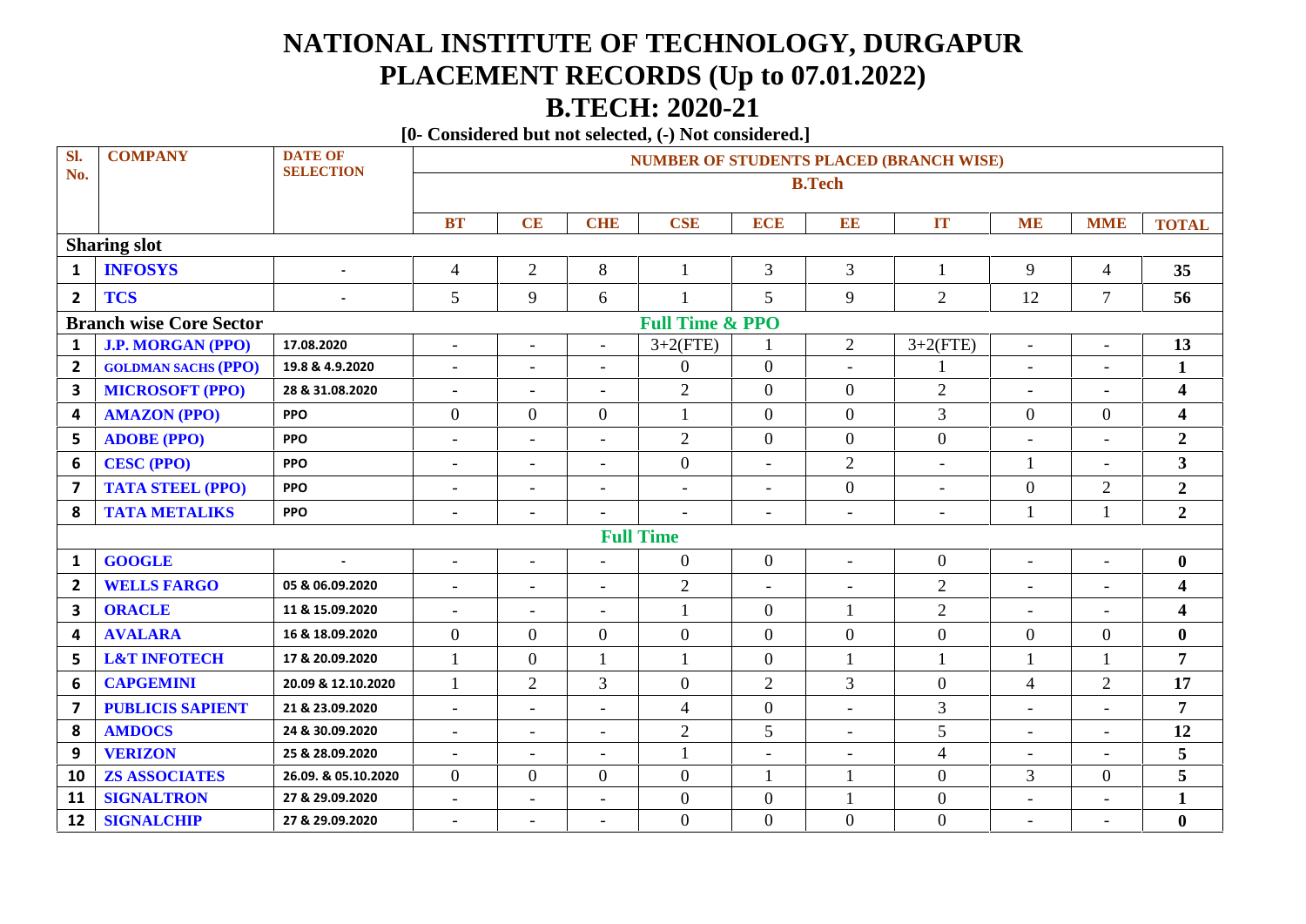## **NATIONAL INSTITUTE OF TECHNOLOGY, DURGAPUR PLACEMENT RECORDS (Up to 07.01.2022) B.TECH: 2020-21**

**[0- Considered but not selected, (-) Not considered.]**

| Sl.                                                          | <b>COMPANY</b>             | <b>DATE OF</b>      | <b>NUMBER OF STUDENTS PLACED (BRANCH WISE)</b> |                          |                          |                          |                          |                          |                          |                          |                          |                         |  |
|--------------------------------------------------------------|----------------------------|---------------------|------------------------------------------------|--------------------------|--------------------------|--------------------------|--------------------------|--------------------------|--------------------------|--------------------------|--------------------------|-------------------------|--|
| No.                                                          |                            | <b>SELECTION</b>    | <b>B.Tech</b>                                  |                          |                          |                          |                          |                          |                          |                          |                          |                         |  |
|                                                              |                            |                     |                                                |                          |                          |                          |                          |                          |                          |                          |                          |                         |  |
|                                                              |                            |                     | <b>BT</b>                                      | CE                       | <b>CHE</b>               | <b>CSE</b>               | <b>ECE</b>               | EE                       | <b>IT</b>                | <b>ME</b>                | <b>MME</b>               | <b>TOTAL</b>            |  |
|                                                              | <b>Sharing slot</b>        |                     |                                                |                          |                          |                          |                          |                          |                          |                          |                          |                         |  |
| $\mathbf{1}$                                                 | <b>INFOSYS</b>             | $\overline{a}$      | $\overline{4}$                                 | $\overline{2}$           | 8                        | $\mathbf{1}$             | $\overline{3}$           | $\overline{3}$           | 1                        | 9                        | $\overline{4}$           | 35                      |  |
| $\overline{2}$                                               | <b>TCS</b>                 |                     | 5                                              | 9                        | 6                        | 1                        | 5                        | 9                        | 2                        | 12                       | 7                        | 56                      |  |
| <b>Full Time &amp; PPO</b><br><b>Branch wise Core Sector</b> |                            |                     |                                                |                          |                          |                          |                          |                          |                          |                          |                          |                         |  |
| $\mathbf{1}$                                                 | <b>J.P. MORGAN (PPO)</b>   | 17.08.2020          | $\overline{\phantom{a}}$                       | $\overline{\phantom{a}}$ | $\blacksquare$           | $3+2(FTE)$               |                          | $\overline{2}$           | $3+2(FTE)$               | $\overline{\phantom{a}}$ | $\overline{\phantom{a}}$ | 13                      |  |
| $\overline{2}$                                               | <b>GOLDMAN SACHS (PPO)</b> | 19.8 & 4.9.2020     | $\overline{\phantom{a}}$                       | $\overline{\phantom{a}}$ |                          | $\overline{0}$           | $\mathbf{0}$             | $\overline{\phantom{a}}$ |                          | $\blacksquare$           | $\overline{\phantom{0}}$ | $\mathbf{1}$            |  |
| 3                                                            | <b>MICROSOFT (PPO)</b>     | 28 & 31.08.2020     | $\overline{\phantom{a}}$                       | $\overline{\phantom{a}}$ | $\blacksquare$           | $\mathfrak{2}$           | $\overline{0}$           | $\overline{0}$           | $\overline{2}$           | $\blacksquare$           | $\overline{\phantom{0}}$ | $\overline{\mathbf{4}}$ |  |
| 4                                                            | <b>AMAZON (PPO)</b>        | <b>PPO</b>          | $\overline{0}$                                 | $\overline{0}$           | $\overline{0}$           | $\mathbf{1}$             | $\overline{0}$           | $\boldsymbol{0}$         | 3                        | $\mathbf{0}$             | $\mathbf{0}$             | $\overline{\mathbf{4}}$ |  |
| 5                                                            | <b>ADOBE (PPO)</b>         | <b>PPO</b>          | $\equiv$                                       | $\overline{a}$           | $\overline{a}$           | $\overline{2}$           | $\overline{0}$           | $\mathbf{0}$             | $\boldsymbol{0}$         | $\overline{a}$           | $\overline{a}$           | $\boldsymbol{2}$        |  |
| 6                                                            | <b>CESC (PPO)</b>          | <b>PPO</b>          | $\overline{\phantom{a}}$                       | $\overline{\phantom{a}}$ | $\blacksquare$           | $\overline{0}$           | $\blacksquare$           | $\overline{2}$           | $\blacksquare$           | $\mathbf{1}$             | $\overline{\phantom{a}}$ | 3                       |  |
| 7                                                            | <b>TATA STEEL (PPO)</b>    | <b>PPO</b>          | $\overline{\phantom{a}}$                       | $\overline{\phantom{a}}$ | $\overline{\phantom{a}}$ | $\overline{\phantom{a}}$ | $\overline{\phantom{a}}$ | $\boldsymbol{0}$         | $\overline{\phantom{a}}$ | $\overline{0}$           | $\overline{2}$           | $\boldsymbol{2}$        |  |
| 8                                                            | <b>TATA METALIKS</b>       | PPO                 | $\overline{\phantom{a}}$                       | $\overline{\phantom{a}}$ | $\overline{\phantom{a}}$ |                          | $\overline{\phantom{a}}$ | $\overline{\phantom{a}}$ | $\overline{a}$           | $\mathbf{1}$             |                          | $\boldsymbol{2}$        |  |
|                                                              |                            |                     |                                                |                          |                          | <b>Full Time</b>         |                          |                          |                          |                          |                          |                         |  |
| $\mathbf{1}$                                                 | <b>GOOGLE</b>              |                     | $\overline{\phantom{a}}$                       | $\blacksquare$           |                          | $\overline{0}$           | $\mathbf{0}$             | $\overline{\phantom{a}}$ | $\overline{0}$           | $\blacksquare$           | $\overline{\phantom{0}}$ | $\bf{0}$                |  |
| $\overline{2}$                                               | <b>WELLS FARGO</b>         | 05 & 06.09.2020     | $\blacksquare$                                 | $\blacksquare$           | $\overline{\phantom{0}}$ | $\overline{2}$           | $\overline{a}$           | $\overline{\phantom{a}}$ | $\overline{2}$           | $\overline{\phantom{a}}$ | $\overline{a}$           | $\overline{\mathbf{4}}$ |  |
| $\overline{\mathbf{3}}$                                      | <b>ORACLE</b>              | 11 & 15.09.2020     | $\overline{\phantom{a}}$                       | $\blacksquare$           | $\blacksquare$           | 1                        | $\overline{0}$           | 1                        | $\overline{2}$           | $\overline{\phantom{a}}$ | $\overline{\phantom{a}}$ | $\overline{\mathbf{4}}$ |  |
| 4                                                            | <b>AVALARA</b>             | 16 & 18.09.2020     | $\overline{0}$                                 | $\overline{0}$           | $\overline{0}$           | $\mathbf{0}$             | $\overline{0}$           | $\overline{0}$           | $\boldsymbol{0}$         | $\mathbf{0}$             | $\overline{0}$           | $\boldsymbol{0}$        |  |
| 5                                                            | <b>L&amp;T INFOTECH</b>    | 17 & 20.09.2020     | $\mathbf{1}$                                   | $\overline{0}$           | $\mathbf{1}$             | $\mathbf{1}$             | $\overline{0}$           | $\mathbf{1}$             | $\mathbf{1}$             | $\mathbf{1}$             |                          | $\overline{7}$          |  |
| 6                                                            | <b>CAPGEMINI</b>           | 20.09 & 12.10.2020  | $\mathbf{1}$                                   | $\overline{2}$           | 3                        | $\mathbf{0}$             | $\overline{2}$           | 3                        | $\overline{0}$           | $\overline{4}$           | $\overline{2}$           | 17                      |  |
| 7                                                            | <b>PUBLICIS SAPIENT</b>    | 21 & 23.09.2020     | $\sim$                                         | $\overline{a}$           | $\overline{\phantom{0}}$ | $\overline{4}$           | $\overline{0}$           | $\overline{\phantom{a}}$ | $\mathfrak{Z}$           | $\equiv$                 | $\sim$                   | 7                       |  |
| 8                                                            | <b>AMDOCS</b>              | 24 & 30.09.2020     | $\overline{\phantom{a}}$                       | $\overline{\phantom{a}}$ | $\overline{\phantom{a}}$ | $\overline{2}$           | 5                        | $\overline{\phantom{a}}$ | 5                        | $\overline{\phantom{a}}$ | $\overline{\phantom{0}}$ | 12                      |  |
| 9                                                            | <b>VERIZON</b>             | 25 & 28.09.2020     | $\overline{\phantom{a}}$                       | $\overline{\phantom{a}}$ | $\overline{\phantom{a}}$ | $\mathbf{1}$             | $\overline{\phantom{a}}$ | $\overline{\phantom{a}}$ | $\overline{4}$           | $\overline{\phantom{a}}$ | $\overline{\phantom{a}}$ | 5                       |  |
| 10                                                           | <b>ZS ASSOCIATES</b>       | 26.09. & 05.10.2020 | $\overline{0}$                                 | $\overline{0}$           | $\overline{0}$           | $\overline{0}$           | $\mathbf{1}$             | 1                        | $\boldsymbol{0}$         | $\overline{3}$           | $\overline{0}$           | 5                       |  |
| 11                                                           | <b>SIGNALTRON</b>          | 27 & 29.09.2020     | $\overline{\phantom{a}}$                       | $\overline{\phantom{a}}$ | $\overline{\phantom{a}}$ | $\boldsymbol{0}$         | $\theta$                 | $\mathbf{1}$             | $\overline{0}$           | $\overline{\phantom{a}}$ | -                        | $\mathbf{1}$            |  |
| 12                                                           | <b>SIGNALCHIP</b>          | 27 & 29.09.2020     | $\blacksquare$                                 | $\blacksquare$           |                          | $\overline{0}$           | $\overline{0}$           | $\boldsymbol{0}$         | $\boldsymbol{0}$         | $\blacksquare$           | ۰                        | $\bf{0}$                |  |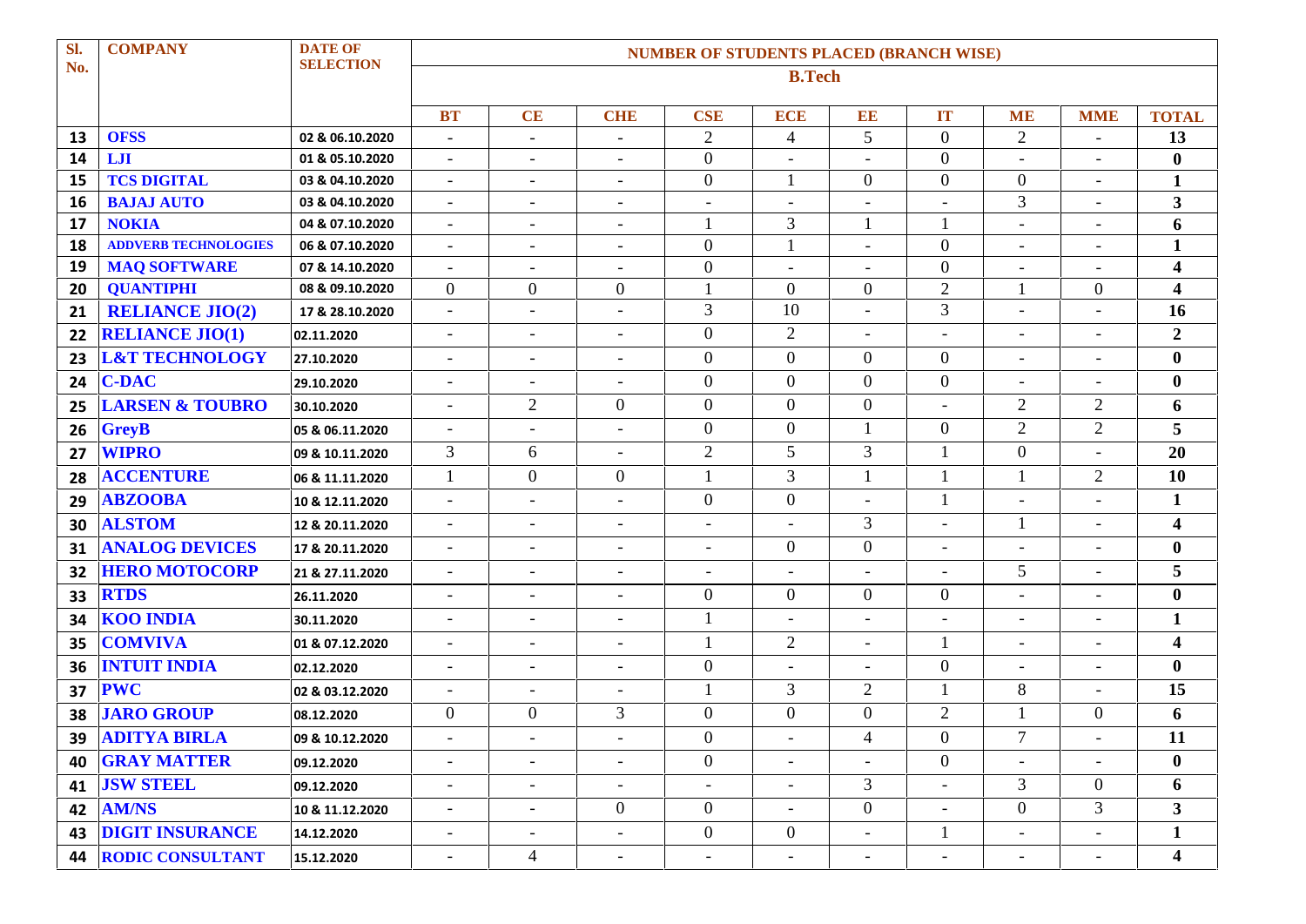| Sl.      | <b>COMPANY</b>              | <b>DATE OF</b><br><b>SELECTION</b> | <b>NUMBER OF STUDENTS PLACED (BRANCH WISE)</b>       |                          |                                                      |                                  |                          |                          |                                  |                                            |                          |                         |  |  |
|----------|-----------------------------|------------------------------------|------------------------------------------------------|--------------------------|------------------------------------------------------|----------------------------------|--------------------------|--------------------------|----------------------------------|--------------------------------------------|--------------------------|-------------------------|--|--|
| No.      |                             |                                    | <b>B.Tech</b>                                        |                          |                                                      |                                  |                          |                          |                                  |                                            |                          |                         |  |  |
|          |                             |                                    |                                                      |                          |                                                      |                                  |                          |                          |                                  |                                            |                          |                         |  |  |
|          |                             |                                    | <b>BT</b>                                            | CE                       | <b>CHE</b>                                           | <b>CSE</b>                       | <b>ECE</b>               | EE                       | IT                               | <b>ME</b>                                  | <b>MME</b>               | <b>TOTAL</b>            |  |  |
| 13       | <b>OFSS</b><br>LJI          | 02 & 06.10.2020                    | $\overline{\phantom{a}}$                             | $\overline{\phantom{a}}$ | $\overline{\phantom{a}}$                             | $\overline{2}$                   | $\overline{4}$           | 5                        | $\overline{0}$<br>$\overline{0}$ | $\overline{2}$                             | $\overline{\phantom{a}}$ | 13                      |  |  |
| 14       | <b>TCS DIGITAL</b>          | 01 & 05.10.2020                    | $\overline{\phantom{a}}$                             | $\overline{\phantom{a}}$ | $\overline{\phantom{a}}$                             | $\overline{0}$<br>$\overline{0}$ |                          | $\overline{0}$           | $\overline{0}$                   | $\overline{\phantom{a}}$<br>$\overline{0}$ |                          | $\bf{0}$                |  |  |
| 15<br>16 | <b>BAJAJ AUTO</b>           | 03 & 04.10.2020<br>03 & 04.10.2020 | $\overline{\phantom{a}}$                             | $\overline{\phantom{a}}$ | $\overline{\phantom{a}}$                             |                                  | $\overline{\phantom{a}}$ | $\overline{\phantom{a}}$ | $\overline{\phantom{a}}$         | $\overline{3}$                             |                          | $\mathbf{1}$<br>3       |  |  |
| 17       | <b>NOKIA</b>                | 04 & 07.10.2020                    | $\overline{\phantom{a}}$<br>$\overline{\phantom{a}}$ | $\overline{\phantom{a}}$ | $\overline{\phantom{a}}$<br>$\overline{\phantom{a}}$ | $\overline{\phantom{a}}$         | 3                        |                          | 1                                |                                            | $\overline{\phantom{0}}$ | 6                       |  |  |
| 18       | <b>ADDVERB TECHNOLOGIES</b> | 06 & 07.10.2020                    | $\overline{\phantom{a}}$                             | $\overline{\phantom{a}}$ | $\overline{\phantom{a}}$                             | $\boldsymbol{0}$                 |                          |                          | $\boldsymbol{0}$                 | $\overline{\phantom{a}}$                   |                          | $\mathbf{1}$            |  |  |
| 19       | <b>MAQ SOFTWARE</b>         | 07 & 14.10.2020                    | $\overline{\phantom{a}}$                             | $\overline{\phantom{a}}$ | $\sim$                                               | $\overline{0}$                   | $\overline{\phantom{a}}$ | $\overline{\phantom{a}}$ | $\boldsymbol{0}$                 | $\overline{\phantom{a}}$                   | $\overline{\phantom{a}}$ | $\overline{\mathbf{4}}$ |  |  |
| 20       | <b>QUANTIPHI</b>            | 08 & 09.10.2020                    | $\overline{0}$                                       | $\boldsymbol{0}$         | $\overline{0}$                                       |                                  | $\overline{0}$           | $\overline{0}$           | $\overline{2}$                   |                                            | $\overline{0}$           | $\overline{\mathbf{4}}$ |  |  |
| 21       | <b>RELIANCE JIO(2)</b>      | 17 & 28.10.2020                    | $\blacksquare$                                       |                          | $\overline{\phantom{a}}$                             | 3                                | 10                       |                          | 3                                |                                            |                          | 16                      |  |  |
| 22       | <b>RELIANCE JIO(1)</b>      | 02.11.2020                         | $\overline{\phantom{a}}$                             | $\overline{\phantom{a}}$ | $\overline{a}$                                       | $\overline{0}$                   | $\overline{2}$           | $\sim$                   | $\overline{\phantom{a}}$         | $\blacksquare$                             | ٠                        | $\overline{2}$          |  |  |
| 23       | <b>L&amp;T TECHNOLOGY</b>   | 27.10.2020                         | $\overline{\phantom{a}}$                             | $\overline{\phantom{a}}$ | $\overline{\phantom{a}}$                             | $\overline{0}$                   | $\overline{0}$           | $\mathbf{0}$             | $\overline{0}$                   | $\overline{\phantom{a}}$                   |                          | $\boldsymbol{0}$        |  |  |
| 24       | <b>C-DAC</b>                | 29.10.2020                         | $\blacksquare$                                       | $\overline{\phantom{a}}$ | $\overline{\phantom{a}}$                             | $\theta$                         | $\overline{0}$           | $\overline{0}$           | $\overline{0}$                   | $\blacksquare$                             |                          | $\bf{0}$                |  |  |
| 25       | <b>LARSEN &amp; TOUBRO</b>  | 30.10.2020                         | $\overline{\phantom{a}}$                             | $\overline{2}$           | $\overline{0}$                                       | $\overline{0}$                   | $\overline{0}$           | $\boldsymbol{0}$         |                                  | $\overline{2}$                             | $\overline{2}$           | 6                       |  |  |
| 26       | <b>GreyB</b>                | 05 & 06.11.2020                    | $\blacksquare$                                       | $\sim$                   | $\blacksquare$                                       | $\overline{0}$                   | $\overline{0}$           | $\mathbf{1}$             | $\overline{0}$                   | $\overline{2}$                             | 2                        | 5                       |  |  |
| 27       | <b>WIPRO</b>                | 09 & 10.11.2020                    | 3                                                    | 6                        | $\overline{\phantom{a}}$                             | $\overline{2}$                   | 5 <sup>5</sup>           | 3                        | 1                                | $\overline{0}$                             |                          | 20                      |  |  |
| 28       | <b>ACCENTURE</b>            | 06 & 11.11.2020                    | 1                                                    | $\overline{0}$           | $\mathbf{0}$                                         |                                  | $\overline{3}$           | -1                       | 1                                |                                            | $\overline{2}$           | 10                      |  |  |
| 29       | <b>ABZOOBA</b>              | 10 & 12.11.2020                    | $\blacksquare$                                       | $\sim$                   | $\overline{\phantom{a}}$                             | $\overline{0}$                   | $\overline{0}$           |                          | 1                                |                                            |                          | 1                       |  |  |
| 30       | <b>ALSTOM</b>               | 12 & 20.11.2020                    | $\overline{\phantom{a}}$                             | $\overline{\phantom{a}}$ | $\overline{\phantom{a}}$                             |                                  |                          | 3                        | $\blacksquare$                   | $\mathbf{1}$                               |                          | 4                       |  |  |
| 31       | <b>ANALOG DEVICES</b>       | 17 & 20.11.2020                    | $\overline{\phantom{a}}$                             | $\overline{\phantom{a}}$ | $\overline{\phantom{a}}$                             | $\sim$                           | $\overline{0}$           | $\mathbf{0}$             | $\overline{\phantom{a}}$         | $\equiv$                                   | $\overline{a}$           | $\boldsymbol{0}$        |  |  |
| 32       | <b>HERO MOTOCORP</b>        | 21 & 27.11.2020                    | $\overline{\phantom{a}}$                             | $\overline{\phantom{a}}$ | $\overline{\phantom{a}}$                             |                                  |                          |                          |                                  | 5                                          |                          | 5                       |  |  |
| 33       | <b>RTDS</b>                 | 26.11.2020                         | $\blacksquare$                                       | $\overline{\phantom{a}}$ | $\overline{\phantom{a}}$                             | $\overline{0}$                   | $\overline{0}$           | $\overline{0}$           | $\overline{0}$                   | $\overline{\phantom{a}}$                   | ٠                        | $\boldsymbol{0}$        |  |  |
| 34       | <b>KOO INDIA</b>            | 30.11.2020                         | $\overline{\phantom{a}}$                             | $\overline{\phantom{a}}$ | $\overline{a}$                                       |                                  | $\blacksquare$           |                          | $\overline{\phantom{a}}$         | $\overline{\phantom{a}}$                   |                          | $\mathbf{1}$            |  |  |
| 35       | <b>COMVIVA</b>              | 01 & 07.12.2020                    | $\overline{\phantom{a}}$                             | $\overline{\phantom{a}}$ | $\overline{\phantom{a}}$                             | $\overline{\phantom{a}}$         | $\overline{2}$           | $\sim$                   | $\mathbf{1}$                     | $\blacksquare$                             | $\overline{\phantom{0}}$ | $\overline{\mathbf{4}}$ |  |  |
| 36       | <b>INTUIT INDIA</b>         | 02.12.2020                         | $\blacksquare$                                       | $\overline{\phantom{a}}$ | $\blacksquare$                                       | $\overline{0}$                   |                          |                          | $\overline{0}$                   |                                            |                          | $\bf{0}$                |  |  |
| 37       | <b>PWC</b>                  | 02 & 03.12.2020                    | $\blacksquare$                                       | $\overline{\phantom{a}}$ | $\overline{\phantom{a}}$                             |                                  | $\overline{3}$           | $\overline{2}$           | $\mathbf{1}$                     | 8                                          |                          | 15                      |  |  |
| 38       | <b>JARO GROUP</b>           | 08.12.2020                         | $\overline{0}$                                       | $\overline{0}$           | 3                                                    | $\overline{0}$                   | $\overline{0}$           | $\boldsymbol{0}$         | $\overline{2}$                   |                                            | $\theta$                 | 6                       |  |  |
|          | 39 ADITYA BIRLA             | 09 & 10.12.2020                    |                                                      |                          |                                                      | $\overline{0}$                   |                          | 4                        | $\overline{0}$                   | $\overline{7}$                             |                          | 11                      |  |  |
|          | <b>40 GRAY MATTER</b>       | 09.12.2020                         | $\overline{\phantom{a}}$                             | $\overline{\phantom{a}}$ | $\sim$                                               | $\overline{0}$                   | $\sim$                   | $\blacksquare$           | $\overline{0}$                   | $\blacksquare$                             | $\overline{\phantom{a}}$ | $\bf{0}$                |  |  |
|          | <b>41 JSW STEEL</b>         | 09.12.2020                         |                                                      | $\overline{\phantom{a}}$ | $\sim$                                               |                                  |                          | $\mathfrak{Z}$           | $\blacksquare$                   | 3 <sup>7</sup>                             | $\overline{0}$           | 6                       |  |  |
|          | <b>42   AM/NS</b>           | 10 & 11.12.2020                    | $\overline{\phantom{a}}$                             | $\overline{\phantom{a}}$ | $\overline{0}$                                       | $\overline{0}$                   | $\overline{\phantom{a}}$ | $\overline{0}$           | $\overline{\phantom{a}}$         | $\overline{0}$                             | $\mathfrak{Z}$           | 3 <sup>1</sup>          |  |  |
| 43       | <b>DIGIT INSURANCE</b>      | 14.12.2020                         | $\overline{\phantom{a}}$                             | $\overline{\phantom{a}}$ | $\overline{\phantom{a}}$                             | $\overline{0}$                   | $\overline{0}$           | $\overline{\phantom{a}}$ | $\mathbf{1}$                     |                                            |                          | $\mathbf{1}$            |  |  |
|          | <b>44 RODIC CONSULTANT</b>  | 15.12.2020                         | $\overline{\phantom{a}}$                             | $\overline{4}$           | $\overline{\phantom{a}}$                             | $\overline{\phantom{a}}$         |                          | $\overline{\phantom{a}}$ | $\overline{\phantom{a}}$         | $\overline{\phantom{a}}$                   | $\overline{\phantom{a}}$ | $\boldsymbol{4}$        |  |  |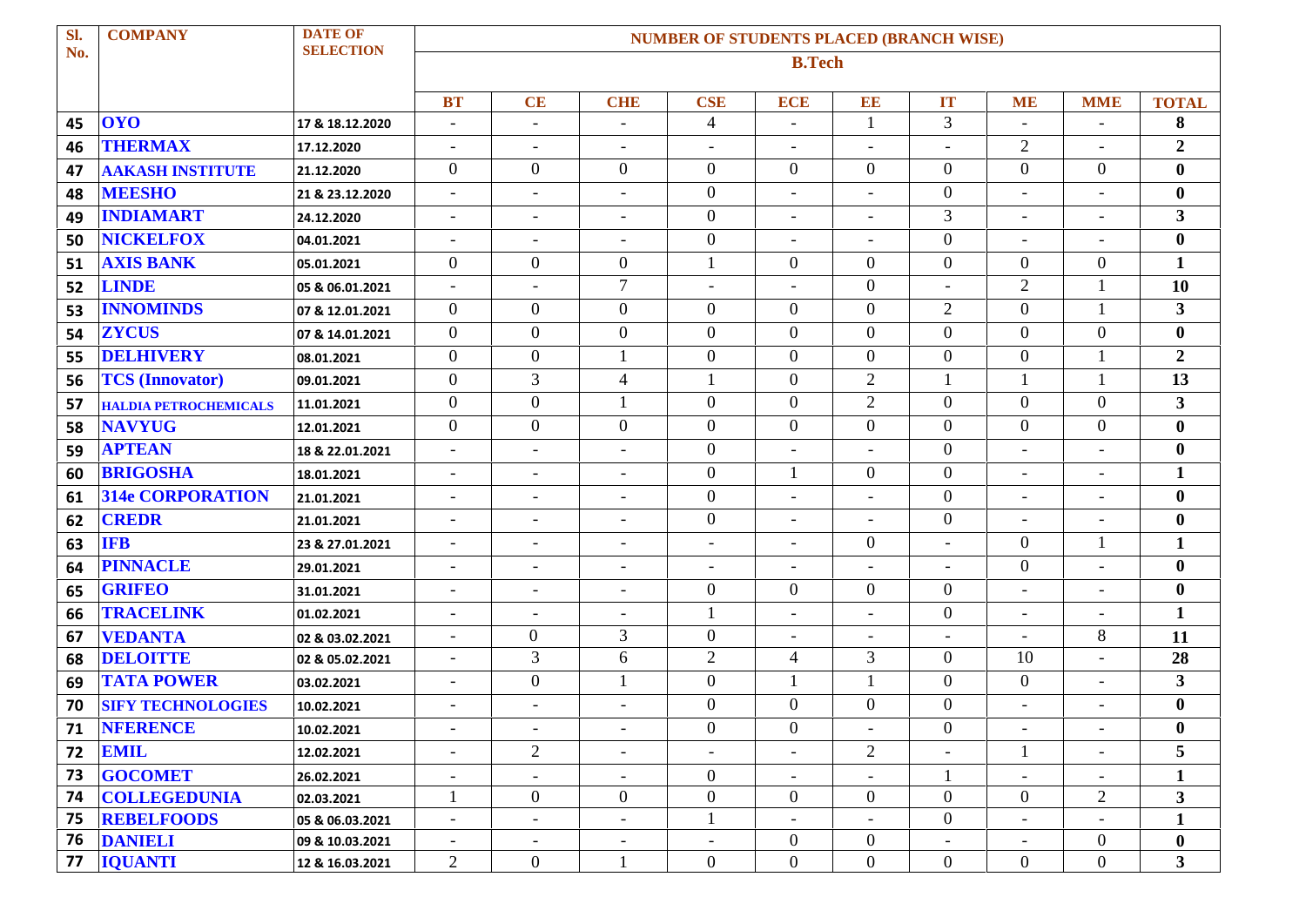| Sl. | <b>COMPANY</b>               | <b>DATE OF</b>   |                          | <b>NUMBER OF STUDENTS PLACED (BRANCH WISE)</b> |                          |                          |                          |                          |                          |                          |                          |                         |
|-----|------------------------------|------------------|--------------------------|------------------------------------------------|--------------------------|--------------------------|--------------------------|--------------------------|--------------------------|--------------------------|--------------------------|-------------------------|
| No. |                              | <b>SELECTION</b> | <b>B.Tech</b>            |                                                |                          |                          |                          |                          |                          |                          |                          |                         |
|     |                              |                  |                          |                                                |                          |                          |                          |                          |                          |                          |                          |                         |
|     |                              |                  | <b>BT</b>                | CE                                             | <b>CHE</b>               | <b>CSE</b>               | <b>ECE</b>               | EE                       | <b>IT</b>                | <b>ME</b>                | <b>MME</b>               | <b>TOTAL</b>            |
| 45  | <b>OYO</b>                   | 17 & 18.12.2020  | ÷,                       | $\overline{\phantom{a}}$                       |                          | $\overline{4}$           | L,                       | $\mathbf{1}$             | 3                        | $\overline{\phantom{a}}$ |                          | 8                       |
| 46  | <b>THERMAX</b>               | 17.12.2020       | $\overline{\phantom{a}}$ | $\overline{\phantom{a}}$                       | $\overline{\phantom{a}}$ | $\overline{\phantom{a}}$ | $\overline{\phantom{a}}$ | $\overline{\phantom{a}}$ | $\overline{\phantom{a}}$ | $\overline{2}$           |                          | $\overline{2}$          |
| 47  | <b>AAKASH INSTITUTE</b>      | 21.12.2020       | $\boldsymbol{0}$         | $\mathbf{0}$                                   | $\boldsymbol{0}$         | $\mathbf{0}$             | $\overline{0}$           | $\overline{0}$           | $\overline{0}$           | $\overline{0}$           | $\overline{0}$           | $\bf{0}$                |
| 48  | <b>MEESHO</b>                | 21 & 23.12.2020  | $\overline{\phantom{a}}$ | $\overline{\phantom{a}}$                       | $\overline{\phantom{a}}$ | $\overline{0}$           | $\overline{\phantom{a}}$ |                          | $\overline{0}$           | $\overline{\phantom{a}}$ |                          | $\bf{0}$                |
| 49  | <b>INDIAMART</b>             | 24.12.2020       | $\overline{\phantom{a}}$ | $\overline{\phantom{a}}$                       | $\overline{\phantom{a}}$ | $\overline{0}$           | $\overline{\phantom{a}}$ | $\blacksquare$           | 3                        | $\overline{\phantom{a}}$ | $\overline{\phantom{a}}$ | 3                       |
| 50  | <b>NICKELFOX</b>             | 04.01.2021       | $\overline{\phantom{a}}$ | $\overline{\phantom{a}}$                       | $\overline{\phantom{a}}$ | $\overline{0}$           | $\overline{\phantom{a}}$ | $\overline{\phantom{0}}$ | $\overline{0}$           | $\overline{\phantom{a}}$ |                          | $\boldsymbol{0}$        |
| 51  | <b>AXIS BANK</b>             | 05.01.2021       | $\boldsymbol{0}$         | $\mathbf{0}$                                   | $\overline{0}$           | 1                        | $\overline{0}$           | $\boldsymbol{0}$         | $\overline{0}$           | $\overline{0}$           | $\overline{0}$           | $\mathbf{1}$            |
| 52  | <b>LINDE</b>                 | 05 & 06.01.2021  | $\overline{\phantom{a}}$ | $\overline{\phantom{a}}$                       | $\tau$                   |                          | ۰                        | $\boldsymbol{0}$         | $\overline{\phantom{a}}$ | $\overline{2}$           |                          | 10                      |
| 53  | <b>INNOMINDS</b>             | 07 & 12.01.2021  | $\boldsymbol{0}$         | $\overline{0}$                                 | $\boldsymbol{0}$         | $\mathbf{0}$             | $\overline{0}$           | $\boldsymbol{0}$         | 2                        | $\overline{0}$           | $\mathbf{1}$             | 3                       |
| 54  | <b>ZYCUS</b>                 | 07 & 14.01.2021  | $\boldsymbol{0}$         | $\boldsymbol{0}$                               | $\boldsymbol{0}$         | $\mathbf{0}$             | $\overline{0}$           | $\boldsymbol{0}$         | $\overline{0}$           | $\overline{0}$           | $\overline{0}$           | $\bf{0}$                |
| 55  | <b>DELHIVERY</b>             | 08.01.2021       | $\boldsymbol{0}$         | $\overline{0}$                                 | 1                        | $\mathbf{0}$             | $\overline{0}$           | $\overline{0}$           | $\overline{0}$           | $\overline{0}$           |                          | $\overline{2}$          |
| 56  | <b>TCS</b> (Innovator)       | 09.01.2021       | $\boldsymbol{0}$         | 3                                              | $\overline{\mathcal{A}}$ |                          | $\overline{0}$           | $\overline{2}$           | $\mathbf{1}$             | $\mathbf{1}$             |                          | 13                      |
| 57  | <b>HALDIA PETROCHEMICALS</b> | 11.01.2021       | $\boldsymbol{0}$         | $\overline{0}$                                 | $\mathbf{1}$             | $\overline{0}$           | $\overline{0}$           | $\overline{2}$           | $\overline{0}$           | $\overline{0}$           | $\overline{0}$           | 3 <sup>1</sup>          |
| 58  | <b>NAVYUG</b>                | 12.01.2021       | $\boldsymbol{0}$         | $\boldsymbol{0}$                               | $\boldsymbol{0}$         | $\mathbf{0}$             | $\overline{0}$           | $\boldsymbol{0}$         | $\overline{0}$           | $\overline{0}$           | $\overline{0}$           | $\bf{0}$                |
| 59  | <b>APTEAN</b>                | 18 & 22.01.2021  | $\sim$                   | $\equiv$                                       | $\overline{\phantom{a}}$ | $\mathbf{0}$             | $\sim$                   | $\overline{a}$           | $\overline{0}$           | $\equiv$                 |                          | $\bf{0}$                |
| 60  | <b>BRIGOSHA</b>              | 18.01.2021       | $\overline{\phantom{a}}$ | $\blacksquare$                                 | $\overline{\phantom{a}}$ | $\overline{0}$           | $\mathbf{1}$             | $\mathbf{0}$             | $\overline{0}$           | $\overline{\phantom{a}}$ |                          | $\mathbf{1}$            |
| 61  | <b>314e CORPORATION</b>      | 21.01.2021       | $\overline{\phantom{a}}$ | $\overline{\phantom{a}}$                       | $\overline{\phantom{a}}$ | $\mathbf{0}$             | $\overline{\phantom{a}}$ | $\blacksquare$           | $\boldsymbol{0}$         | $\overline{\phantom{a}}$ | $\overline{\phantom{a}}$ | $\bf{0}$                |
| 62  | <b>CREDR</b>                 | 21.01.2021       | $\overline{\phantom{a}}$ | $\overline{\phantom{a}}$                       | $\overline{\phantom{a}}$ | $\boldsymbol{0}$         | $\overline{\phantom{a}}$ | $\overline{\phantom{a}}$ | $\overline{0}$           | $\overline{\phantom{a}}$ |                          | $\bf{0}$                |
| 63  | <b>IFB</b>                   | 23 & 27.01.2021  | $\overline{\phantom{a}}$ | $\overline{\phantom{a}}$                       | $\overline{\phantom{a}}$ | $\overline{\phantom{a}}$ | $\overline{\phantom{0}}$ | $\overline{0}$           | $\overline{\phantom{a}}$ | $\overline{0}$           | $\mathbf{1}$             | $\mathbf{1}$            |
| 64  | <b>PINNACLE</b>              | 29.01.2021       | $\overline{\phantom{a}}$ | $\overline{\phantom{a}}$                       | $\overline{\phantom{a}}$ | $\overline{\phantom{a}}$ | $\overline{\phantom{a}}$ |                          | $\overline{\phantom{a}}$ | $\overline{0}$           |                          | $\bf{0}$                |
| 65  | <b>GRIFEO</b>                | 31.01.2021       | $\overline{\phantom{a}}$ | $\blacksquare$                                 | $\overline{\phantom{a}}$ | $\mathbf{0}$             | $\overline{0}$           | $\overline{0}$           | $\boldsymbol{0}$         | $\equiv$                 | $\overline{\phantom{0}}$ | $\bf{0}$                |
| 66  | <b>TRACELINK</b>             | 01.02.2021       | $\overline{\phantom{a}}$ | $\overline{\phantom{a}}$                       | $\overline{\phantom{a}}$ |                          | $\overline{\phantom{a}}$ | $\blacksquare$           | $\overline{0}$           | $\overline{\phantom{a}}$ |                          | $\mathbf{1}$            |
| 67  | <b>VEDANTA</b>               | 02 & 03.02.2021  | $\overline{\phantom{a}}$ | $\overline{0}$                                 | 3                        | $\overline{0}$           | $\overline{\phantom{a}}$ |                          | $\overline{\phantom{a}}$ | $\overline{\phantom{a}}$ | 8                        | 11                      |
| 68  | <b>DELOITTE</b>              | 02 & 05.02.2021  | $\overline{\phantom{a}}$ | 3                                              | 6                        | 2                        | $\overline{4}$           | 3                        | $\boldsymbol{0}$         | 10                       |                          | 28                      |
| 69  | <b>TATA POWER</b>            | 03.02.2021       | $\overline{\phantom{a}}$ | $\boldsymbol{0}$                               | 1                        | $\overline{0}$           | 1                        |                          | $\boldsymbol{0}$         | $\overline{0}$           | $\overline{\phantom{a}}$ | 3                       |
| 70  | <b>SIFY TECHNOLOGIES</b>     | 10.02.2021       | $\overline{\phantom{0}}$ | $\overline{\phantom{a}}$                       | $\overline{\phantom{a}}$ | $\overline{0}$           | $\overline{0}$           | $\overline{0}$           | $\boldsymbol{0}$         |                          |                          | $\boldsymbol{0}$        |
| 71  | <b>NFERENCE</b>              | 10.02.2021       | $\overline{\phantom{a}}$ | $\overline{\phantom{a}}$                       | $\overline{\phantom{a}}$ | $\boldsymbol{0}$         | $\overline{0}$           | $\blacksquare$           | $\boldsymbol{0}$         |                          |                          | $\bf{0}$                |
| 72  | <b>EMIL</b>                  | 12.02.2021       | $\overline{\phantom{0}}$ | $\overline{2}$                                 | $\overline{\phantom{a}}$ | $\blacksquare$           | ۰                        | $\overline{2}$           | $\overline{\phantom{a}}$ | 1                        |                          | 5                       |
| 73  | <b>GOCOMET</b>               | 26.02.2021       |                          |                                                |                          | $\overline{0}$           |                          |                          | $\mathbf{1}$             |                          |                          | $\mathbf{1}$            |
| 74  | <b>COLLEGEDUNIA</b>          | 02.03.2021       | $\mathbf{1}$             | $\overline{0}$                                 | $\boldsymbol{0}$         | $\boldsymbol{0}$         | $\overline{0}$           | $\boldsymbol{0}$         | $\overline{0}$           | $\overline{0}$           | $\overline{2}$           | $\overline{\mathbf{3}}$ |
| 75  | <b>REBELFOODS</b>            | 05 & 06.03.2021  | $\sim$                   | $\sim$                                         | $\overline{\phantom{a}}$ |                          | $\sim$                   | $\overline{\phantom{a}}$ | $\boldsymbol{0}$         | $\overline{\phantom{a}}$ |                          | $\mathbf{1}$            |
| 76  | <b>DANIELI</b>               | 09 & 10.03.2021  | $\overline{\phantom{a}}$ | $\overline{\phantom{a}}$                       | $\overline{\phantom{a}}$ | $\overline{\phantom{a}}$ | $\overline{0}$           | $\overline{0}$           |                          |                          | $\overline{0}$           | $\bf{0}$                |
| 77  | <b>IQUANTI</b>               | 12 & 16.03.2021  | $\overline{2}$           | $\overline{0}$                                 | 1                        | $\overline{0}$           | $\overline{0}$           | $\boldsymbol{0}$         | $\boldsymbol{0}$         | $\overline{0}$           | $\overline{0}$           | $\mathbf{3}$            |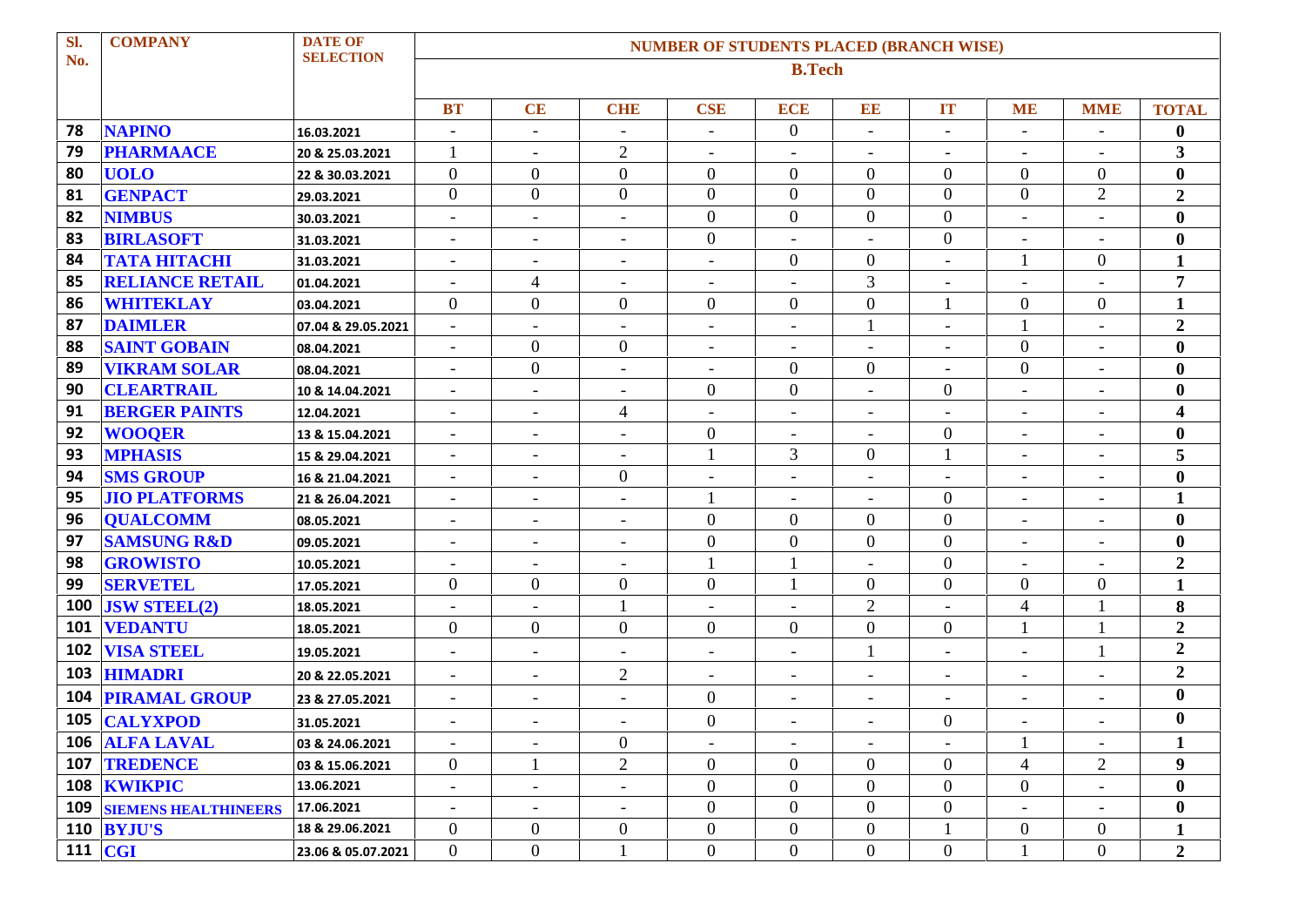| Sl. | <b>COMPANY</b>                  | <b>DATE OF</b>     |                          | <b>NUMBER OF STUDENTS PLACED (BRANCH WISE)</b> |                          |                          |                          |                          |                          |                          |                          |                         |  |
|-----|---------------------------------|--------------------|--------------------------|------------------------------------------------|--------------------------|--------------------------|--------------------------|--------------------------|--------------------------|--------------------------|--------------------------|-------------------------|--|
| No. |                                 | <b>SELECTION</b>   |                          | <b>B.Tech</b>                                  |                          |                          |                          |                          |                          |                          |                          |                         |  |
|     |                                 |                    |                          |                                                |                          |                          |                          |                          |                          |                          |                          |                         |  |
|     |                                 |                    | <b>BT</b>                | <b>CE</b>                                      | <b>CHE</b>               | <b>CSE</b>               | <b>ECE</b>               | EE                       | <b>IT</b>                | <b>ME</b>                | <b>MME</b>               | <b>TOTAL</b>            |  |
| 78  | <b>NAPINO</b>                   | 16.03.2021         | $\overline{\phantom{a}}$ | $\overline{\phantom{0}}$                       |                          |                          | $\mathbf{0}$             |                          | $\overline{\phantom{a}}$ |                          |                          | $\bf{0}$                |  |
| 79  | <b>PHARMAACE</b>                | 20 & 25.03.2021    | 1                        | $\overline{\phantom{a}}$                       | $\sqrt{2}$               | $\overline{\phantom{0}}$ | $\overline{\phantom{0}}$ | $\overline{\phantom{a}}$ | $\overline{\phantom{a}}$ | $\overline{\phantom{a}}$ |                          | 3                       |  |
| 80  | <b>UOLO</b>                     | 22 & 30.03.2021    | $\overline{0}$           | $\boldsymbol{0}$                               | $\mathbf{0}$             | $\boldsymbol{0}$         | $\overline{0}$           | $\overline{0}$           | $\overline{0}$           | $\theta$                 | $\overline{0}$           | $\bf{0}$                |  |
| 81  | <b>GENPACT</b>                  | 29.03.2021         | $\overline{0}$           | $\overline{0}$                                 | $\mathbf{0}$             | $\overline{0}$           | $\overline{0}$           | $\overline{0}$           | $\overline{0}$           | $\overline{0}$           | $\overline{2}$           | $\overline{2}$          |  |
| 82  | <b>NIMBUS</b>                   | 30.03.2021         | $\overline{\phantom{a}}$ | $\overline{\phantom{a}}$                       | $\overline{\phantom{a}}$ | $\overline{0}$           | $\overline{0}$           | $\mathbf{0}$             | $\overline{0}$           | $\overline{\phantom{a}}$ |                          | $\bf{0}$                |  |
| 83  | <b>BIRLASOFT</b>                | 31.03.2021         | $\overline{\phantom{a}}$ | $\overline{\phantom{a}}$                       | $\overline{\phantom{a}}$ | $\boldsymbol{0}$         | -                        |                          | $\boldsymbol{0}$         | $\overline{\phantom{a}}$ |                          | $\boldsymbol{0}$        |  |
| 84  | ТАТА НІТАСНІ                    | 31.03.2021         | $\overline{\phantom{a}}$ | $\overline{\phantom{a}}$                       | $\overline{\phantom{a}}$ | $\overline{\phantom{a}}$ | $\mathbf{0}$             | $\boldsymbol{0}$         | $\overline{\phantom{a}}$ | 1                        | $\overline{0}$           | $\mathbf{1}$            |  |
| 85  | <b>RELIANCE RETAIL</b>          | 01.04.2021         | $\overline{\phantom{a}}$ | $\overline{4}$                                 | $\overline{\phantom{a}}$ | $\blacksquare$           | $\overline{\phantom{0}}$ | 3                        | $\overline{\phantom{a}}$ | $\blacksquare$           |                          | 7                       |  |
| 86  | <b>WHITEKLAY</b>                | 03.04.2021         | $\boldsymbol{0}$         | $\boldsymbol{0}$                               | $\boldsymbol{0}$         | $\boldsymbol{0}$         | $\mathbf{0}$             | $\overline{0}$           |                          | $\boldsymbol{0}$         | $\overline{0}$           | $\mathbf{1}$            |  |
| 87  | <b>DAIMLER</b>                  | 07.04 & 29.05.2021 | $\overline{\phantom{a}}$ | $\blacksquare$                                 | $\overline{\phantom{a}}$ | $\blacksquare$           | $\overline{\phantom{0}}$ |                          | $\overline{\phantom{a}}$ |                          |                          | $\boldsymbol{2}$        |  |
| 88  | <b>SAINT GOBAIN</b>             | 08.04.2021         | $\overline{\phantom{a}}$ | $\overline{0}$                                 | $\boldsymbol{0}$         | $\overline{\phantom{a}}$ |                          |                          | $\overline{\phantom{a}}$ | $\boldsymbol{0}$         |                          | $\bf{0}$                |  |
| 89  | <b>VIKRAM SOLAR</b>             | 08.04.2021         | $\overline{\phantom{a}}$ | $\boldsymbol{0}$                               | $\overline{\phantom{a}}$ |                          | $\mathbf{0}$             | $\boldsymbol{0}$         | $\blacksquare$           | $\overline{0}$           |                          | $\bf{0}$                |  |
| 90  | <b>CLEARTRAIL</b>               | 10 & 14.04.2021    | $\overline{\phantom{a}}$ | $\overline{\phantom{a}}$                       | $\overline{\phantom{a}}$ | $\boldsymbol{0}$         | $\boldsymbol{0}$         | $\overline{\phantom{a}}$ | $\overline{0}$           | $\overline{\phantom{a}}$ | $\overline{\phantom{a}}$ | $\bf{0}$                |  |
| 91  | <b>BERGER PAINTS</b>            | 12.04.2021         | $\overline{\phantom{a}}$ | $\overline{\phantom{a}}$                       | $\overline{\mathcal{A}}$ | $\overline{\phantom{a}}$ | $\overline{\phantom{a}}$ | $\overline{\phantom{a}}$ | $\overline{\phantom{a}}$ | $\overline{\phantom{a}}$ |                          | $\overline{\mathbf{4}}$ |  |
| 92  | <b>WOOQER</b>                   | 13 & 15.04.2021    | $\overline{\phantom{a}}$ | $\overline{\phantom{a}}$                       | $\overline{\phantom{a}}$ | $\boldsymbol{0}$         | $\overline{\phantom{0}}$ |                          | $\boldsymbol{0}$         | $\overline{\phantom{a}}$ |                          | $\bf{0}$                |  |
| 93  | <b>MPHASIS</b>                  | 15 & 29.04.2021    | $\sim$                   | $\overline{\phantom{a}}$                       | $\overline{\phantom{a}}$ |                          | 3                        | $\boldsymbol{0}$         | -1                       | $\overline{\phantom{a}}$ | $\overline{\phantom{a}}$ | 5                       |  |
| 94  | <b>SMS GROUP</b>                | 16 & 21.04.2021    | $\overline{\phantom{a}}$ | $\overline{\phantom{a}}$                       | $\boldsymbol{0}$         | $\overline{\phantom{a}}$ | $\overline{\phantom{0}}$ | $\overline{\phantom{a}}$ | $\overline{\phantom{a}}$ |                          |                          | $\bf{0}$                |  |
| 95  | <b>JIO PLATFORMS</b>            | 21 & 26.04.2021    | $\overline{\phantom{a}}$ | $\overline{\phantom{a}}$                       | $\overline{\phantom{a}}$ |                          | $\qquad \qquad -$        |                          | $\boldsymbol{0}$         | $\overline{\phantom{a}}$ |                          | $\mathbf{1}$            |  |
| 96  | <b>QUALCOMM</b>                 | 08.05.2021         | $\overline{\phantom{a}}$ | $\overline{\phantom{a}}$                       | $\overline{\phantom{a}}$ | $\overline{0}$           | $\overline{0}$           | $\boldsymbol{0}$         | $\overline{0}$           | $\overline{\phantom{a}}$ | $\overline{\phantom{a}}$ | $\boldsymbol{0}$        |  |
| 97  | <b>SAMSUNG R&amp;D</b>          | 09.05.2021         | $\overline{\phantom{a}}$ | $\overline{\phantom{0}}$                       | $\overline{\phantom{a}}$ | $\overline{0}$           | $\overline{0}$           | $\overline{0}$           | $\overline{0}$           | $\overline{\phantom{a}}$ |                          | $\bf{0}$                |  |
| 98  | <b>GROWISTO</b>                 | 10.05.2021         | $\overline{\phantom{a}}$ |                                                |                          |                          |                          |                          | $\boldsymbol{0}$         |                          |                          | $\boldsymbol{2}$        |  |
| 99  | <b>SERVETEL</b>                 | 17.05.2021         | $\boldsymbol{0}$         | $\overline{0}$                                 | $\boldsymbol{0}$         | $\boldsymbol{0}$         |                          | $\boldsymbol{0}$         | $\boldsymbol{0}$         | $\overline{0}$           | $\overline{0}$           | $\mathbf{1}$            |  |
| 100 | <b>JSW STEEL(2)</b>             | 18.05.2021         |                          |                                                |                          |                          |                          | $\overline{2}$           |                          | 4                        |                          | 8                       |  |
| 101 | <b>VEDANTU</b>                  | 18.05.2021         | $\boldsymbol{0}$         | $\mathbf{0}$                                   | $\boldsymbol{0}$         | $\boldsymbol{0}$         | $\overline{0}$           | $\overline{0}$           | $\mathbf{0}$             |                          |                          | $\boldsymbol{2}$        |  |
| 102 | <b>VISA STEEL</b>               | 19.05.2021         | $\overline{\phantom{a}}$ | $\overline{\phantom{a}}$                       | $\overline{\phantom{a}}$ | $\overline{\phantom{a}}$ | $\overline{\phantom{0}}$ |                          | $\overline{\phantom{a}}$ | $\overline{\phantom{a}}$ |                          | $\boldsymbol{2}$        |  |
| 103 | <b>HIMADRI</b>                  | 20 & 22.05.2021    | $\overline{\phantom{a}}$ | $\qquad \qquad -$                              | $\overline{c}$           | $\overline{\phantom{0}}$ | $\overline{\phantom{0}}$ | $\overline{a}$           | $\overline{\phantom{a}}$ | $\overline{\phantom{a}}$ |                          | $\boldsymbol{2}$        |  |
| 104 | <b>PIRAMAL GROUP</b>            | 23 & 27.05.2021    | $\overline{\phantom{a}}$ | $\overline{\phantom{0}}$                       | $\overline{\phantom{a}}$ | $\boldsymbol{0}$         | $\overline{\phantom{0}}$ | $\blacksquare$           | $\overline{\phantom{a}}$ | $\overline{\phantom{a}}$ |                          | $\bf{0}$                |  |
| 105 | <b>CALYXPOD</b>                 | 31.05.2021         | $\overline{\phantom{a}}$ | $\overline{\phantom{a}}$                       | $\overline{\phantom{a}}$ | $\boldsymbol{0}$         | -                        |                          | $\overline{0}$           | $\overline{\phantom{a}}$ |                          | $\bf{0}$                |  |
|     | 106 ALFA LAVAL                  | 03 & 24.06.2021    | $\overline{\phantom{a}}$ | $\overline{\phantom{a}}$                       | $\boldsymbol{0}$         | $-$                      | $\overline{\phantom{a}}$ | $\overline{\phantom{a}}$ | $\overline{\phantom{a}}$ |                          | $-$                      | 1                       |  |
|     | 107 TREDENCE                    | 03 & 15.06.2021    | $\overline{0}$           | 1                                              | $\overline{2}$           | $\boldsymbol{0}$         | $\overline{0}$           | $\overline{0}$           | $\overline{0}$           | $\overline{4}$           | $\overline{2}$           | $\boldsymbol{9}$        |  |
|     | 108 KWIKPIC                     | 13.06.2021         | $\overline{\phantom{a}}$ | $\overline{\phantom{a}}$                       | $\overline{\phantom{a}}$ | $\boldsymbol{0}$         | $\overline{0}$           | $\boldsymbol{0}$         | $\boldsymbol{0}$         | $\overline{0}$           |                          | $\bf{0}$                |  |
|     | <b>109 SIEMENS HEALTHINEERS</b> | 17.06.2021         | $\overline{\phantom{a}}$ | $\overline{\phantom{a}}$                       | $\overline{\phantom{a}}$ | $\boldsymbol{0}$         | $\overline{0}$           | $\overline{0}$           | $\overline{0}$           |                          |                          | $\boldsymbol{0}$        |  |
|     | <b>110 BYJU'S</b>               | 18 & 29.06.2021    | $\overline{0}$           | $\boldsymbol{0}$                               | $\boldsymbol{0}$         | $\overline{0}$           | $\overline{0}$           | $\boldsymbol{0}$         | $\mathbf{1}$             | $\boldsymbol{0}$         | $\overline{0}$           | 1                       |  |
|     | 111 $ CGI $                     | 23.06 & 05.07.2021 | $\boldsymbol{0}$         | $\boldsymbol{0}$                               |                          | $\boldsymbol{0}$         | $\overline{0}$           | $\boldsymbol{0}$         | $\boldsymbol{0}$         |                          | $\overline{0}$           | $\boldsymbol{2}$        |  |